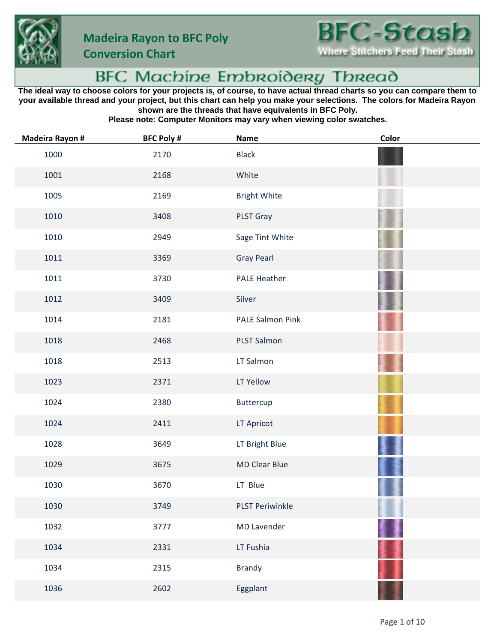



**Conversion Chart**

## **BFC Machine Embroidery Thread**

**The ideal way to choose colors for your projects is, of course, to have actual thread charts so you can compare them to your available thread and your project, but this chart can help you make your selections. The colors for Madeira Rayon shown are the threads that have equivalents in BFC Poly.**

**Please note: Computer Monitors may vary when viewing color swatches.**

| <b>Madeira Rayon #</b> | <b>BFC Poly #</b> | <b>Name</b>             | Color |
|------------------------|-------------------|-------------------------|-------|
| 1000                   | 2170              | <b>Black</b>            |       |
| 1001                   | 2168              | White                   |       |
| 1005                   | 2169              | <b>Bright White</b>     |       |
| 1010                   | 3408              | PLST Gray               |       |
| 1010                   | 2949              | Sage Tint White         |       |
| 1011                   | 3369              | <b>Gray Pearl</b>       |       |
| 1011                   | 3730              | <b>PALE Heather</b>     |       |
| 1012                   | 3409              | Silver                  |       |
| 1014                   | 2181              | <b>PALE Salmon Pink</b> |       |
| 1018                   | 2468              | PLST Salmon             |       |
| 1018                   | 2513              | LT Salmon               |       |
| 1023                   | 2371              | LT Yellow               |       |
| 1024                   | 2380              | Buttercup               |       |
| 1024                   | 2411              | LT Apricot              |       |
| 1028                   | 3649              | LT Bright Blue          |       |
| 1029                   | 3675              | <b>MD Clear Blue</b>    |       |
| 1030                   | 3670              | LT Blue                 |       |
| 1030                   | 3749              | <b>PLST Periwinkle</b>  |       |
| 1032                   | 3777              | <b>MD Lavender</b>      |       |
| 1034                   | 2331              | LT Fushia               |       |
| 1034                   | 2315              | <b>Brandy</b>           |       |
| 1036                   | 2602              | Eggplant                |       |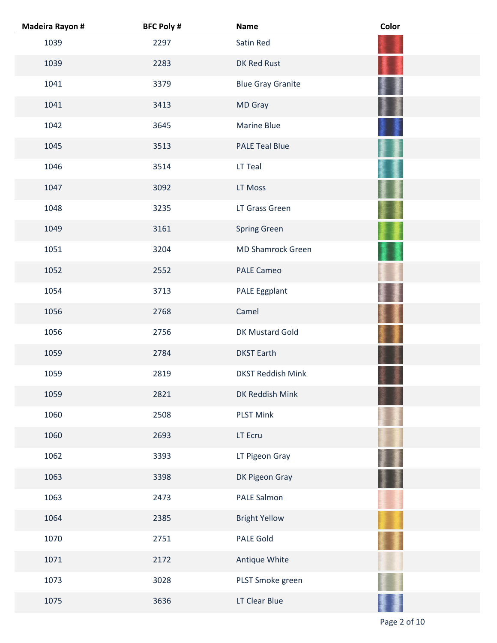| <b>Madeira Rayon #</b> | <b>BFC Poly #</b> | Name                     | Color |
|------------------------|-------------------|--------------------------|-------|
| 1039                   | 2297              | Satin Red                |       |
| 1039                   | 2283              | DK Red Rust              |       |
| 1041                   | 3379              | <b>Blue Gray Granite</b> |       |
| 1041                   | 3413              | MD Gray                  |       |
| 1042                   | 3645              | <b>Marine Blue</b>       |       |
| 1045                   | 3513              | <b>PALE Teal Blue</b>    |       |
| 1046                   | 3514              | LT Teal                  |       |
| 1047                   | 3092              | LT Moss                  |       |
| 1048                   | 3235              | LT Grass Green           |       |
| 1049                   | 3161              | <b>Spring Green</b>      |       |
| 1051                   | 3204              | <b>MD Shamrock Green</b> |       |
| 1052                   | 2552              | <b>PALE Cameo</b>        |       |
| 1054                   | 3713              | PALE Eggplant            |       |
| 1056                   | 2768              | Camel                    |       |
| 1056                   | 2756              | DK Mustard Gold          |       |
| 1059                   | 2784              | <b>DKST Earth</b>        |       |
| 1059                   | 2819              | <b>DKST Reddish Mink</b> |       |
| 1059                   | 2821              | DK Reddish Mink          |       |
| 1060                   | 2508              | <b>PLST Mink</b>         |       |
| 1060                   | 2693              | LT Ecru                  |       |
| 1062                   | 3393              | LT Pigeon Gray           |       |
| 1063                   | 3398              | DK Pigeon Gray           |       |
| 1063                   | 2473              | PALE Salmon              |       |
| 1064                   | 2385              | <b>Bright Yellow</b>     |       |
| 1070                   | 2751              | PALE Gold                |       |
| 1071                   | 2172              | Antique White            |       |
| 1073                   | 3028              | PLST Smoke green         |       |
| 1075                   | 3636              | LT Clear Blue            |       |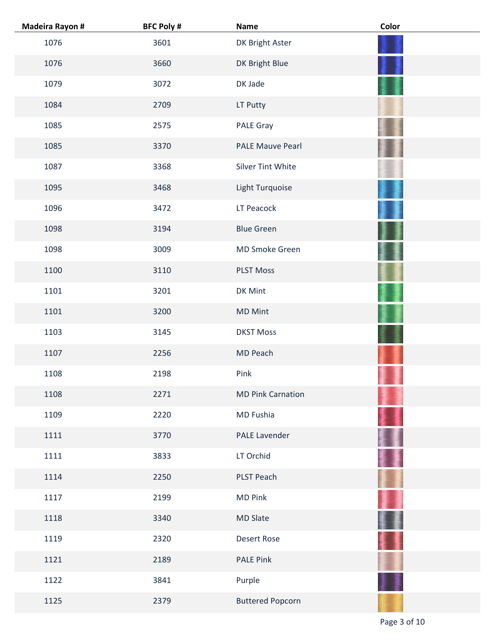| <b>Madeira Rayon #</b> | <b>BFC Poly #</b> | Name                     | Color |
|------------------------|-------------------|--------------------------|-------|
| 1076                   | 3601              | DK Bright Aster          |       |
| 1076                   | 3660              | DK Bright Blue           |       |
| 1079                   | 3072              | DK Jade                  |       |
| 1084                   | 2709              | LT Putty                 |       |
| 1085                   | 2575              | PALE Gray                |       |
| 1085                   | 3370              | <b>PALE Mauve Pearl</b>  |       |
| 1087                   | 3368              | Silver Tint White        |       |
| 1095                   | 3468              | Light Turquoise          |       |
| 1096                   | 3472              | LT Peacock               |       |
| 1098                   | 3194              | <b>Blue Green</b>        |       |
| 1098                   | 3009              | MD Smoke Green           |       |
| 1100                   | 3110              | <b>PLST Moss</b>         |       |
| 1101                   | 3201              | DK Mint                  |       |
| 1101                   | 3200              | <b>MD Mint</b>           |       |
| 1103                   | 3145              | <b>DKST Moss</b>         |       |
| 1107                   | 2256              | MD Peach                 |       |
| 1108                   | 2198              | Pink                     |       |
| 1108                   | 2271              | <b>MD Pink Carnation</b> |       |
| 1109                   | 2220              | MD Fushia                |       |
| 1111                   | 3770              | <b>PALE Lavender</b>     |       |
| 1111                   | 3833              | LT Orchid                |       |
| 1114                   | 2250              | PLST Peach               |       |
| 1117                   | 2199              | <b>MD Pink</b>           |       |
| 1118                   | 3340              | MD Slate                 |       |
| 1119                   | 2320              | <b>Desert Rose</b>       |       |
| 1121                   | 2189              | <b>PALE Pink</b>         |       |
| 1122                   | 3841              | Purple                   |       |
| 1125                   | 2379              | <b>Buttered Popcorn</b>  |       |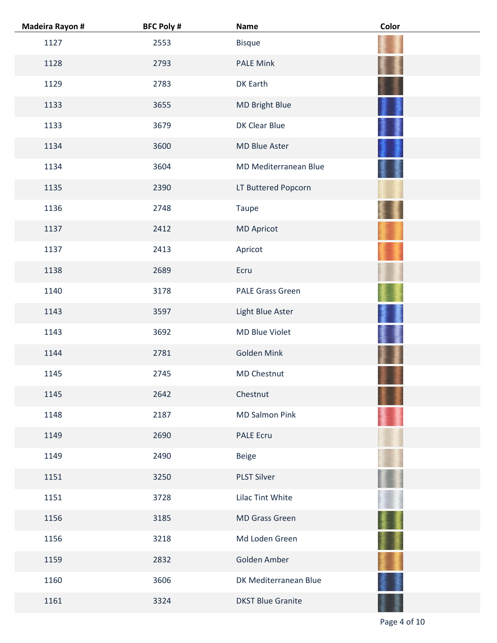| <b>Madeira Rayon #</b> | <b>BFC Poly #</b> | <b>Name</b>              | Color |
|------------------------|-------------------|--------------------------|-------|
| 1127                   | 2553              | <b>Bisque</b>            |       |
| 1128                   | 2793              | <b>PALE Mink</b>         |       |
| 1129                   | 2783              | DK Earth                 |       |
| 1133                   | 3655              | MD Bright Blue           |       |
| 1133                   | 3679              | DK Clear Blue            |       |
| 1134                   | 3600              | MD Blue Aster            |       |
| 1134                   | 3604              | MD Mediterranean Blue    |       |
| 1135                   | 2390              | LT Buttered Popcorn      |       |
| 1136                   | 2748              | Taupe                    |       |
| 1137                   | 2412              | <b>MD Apricot</b>        |       |
| 1137                   | 2413              | Apricot                  |       |
| 1138                   | 2689              | Ecru                     |       |
| 1140                   | 3178              | <b>PALE Grass Green</b>  |       |
| 1143                   | 3597              | Light Blue Aster         |       |
| 1143                   | 3692              | <b>MD Blue Violet</b>    |       |
| 1144                   | 2781              | Golden Mink              |       |
| 1145                   | 2745              | MD Chestnut              |       |
| 1145                   | 2642              | Chestnut                 |       |
| 1148                   | 2187              | <b>MD Salmon Pink</b>    |       |
| 1149                   | 2690              | PALE Ecru                |       |
| 1149                   | 2490              | Beige                    |       |
| 1151                   | 3250              | <b>PLST Silver</b>       |       |
| 1151                   | 3728              | Lilac Tint White         |       |
| 1156                   | 3185              | <b>MD Grass Green</b>    |       |
| 1156                   | 3218              | Md Loden Green           |       |
| 1159                   | 2832              | Golden Amber             |       |
| 1160                   | 3606              | DK Mediterranean Blue    |       |
| 1161                   | 3324              | <b>DKST Blue Granite</b> |       |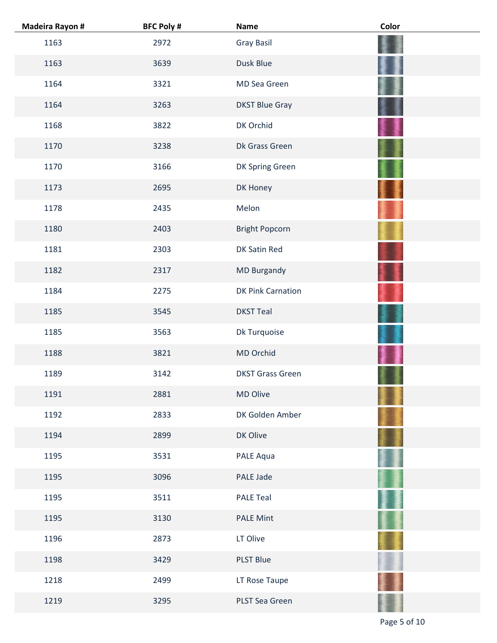| <b>Madeira Rayon #</b> | <b>BFC Poly #</b> | <b>Name</b>              | Color |
|------------------------|-------------------|--------------------------|-------|
| 1163                   | 2972              | Gray Basil               |       |
| 1163                   | 3639              | Dusk Blue                |       |
| 1164                   | 3321              | MD Sea Green             |       |
| 1164                   | 3263              | <b>DKST Blue Gray</b>    |       |
| 1168                   | 3822              | DK Orchid                |       |
| 1170                   | 3238              | Dk Grass Green           |       |
| 1170                   | 3166              | DK Spring Green          |       |
| 1173                   | 2695              | DK Honey                 |       |
| 1178                   | 2435              | Melon                    |       |
| 1180                   | 2403              | <b>Bright Popcorn</b>    |       |
| 1181                   | 2303              | DK Satin Red             |       |
| 1182                   | 2317              | <b>MD Burgandy</b>       |       |
| 1184                   | 2275              | <b>DK Pink Carnation</b> |       |
| 1185                   | 3545              | <b>DKST Teal</b>         |       |
| 1185                   | 3563              | Dk Turquoise             |       |
| 1188                   | 3821              | MD Orchid                |       |
| 1189                   | 3142              | <b>DKST Grass Green</b>  |       |
| 1191                   | 2881              | MD Olive                 |       |
| 1192                   | 2833              | DK Golden Amber          |       |
| 1194                   | 2899              | DK Olive                 |       |
| 1195                   | 3531              | PALE Aqua                |       |
| 1195                   | 3096              | PALE Jade                |       |
| 1195                   | 3511              | <b>PALE Teal</b>         |       |
| 1195                   | 3130              | <b>PALE Mint</b>         |       |
| 1196                   | 2873              | LT Olive                 |       |
| 1198                   | 3429              | <b>PLST Blue</b>         |       |
| 1218                   | 2499              | LT Rose Taupe            |       |
| 1219                   | 3295              | PLST Sea Green           |       |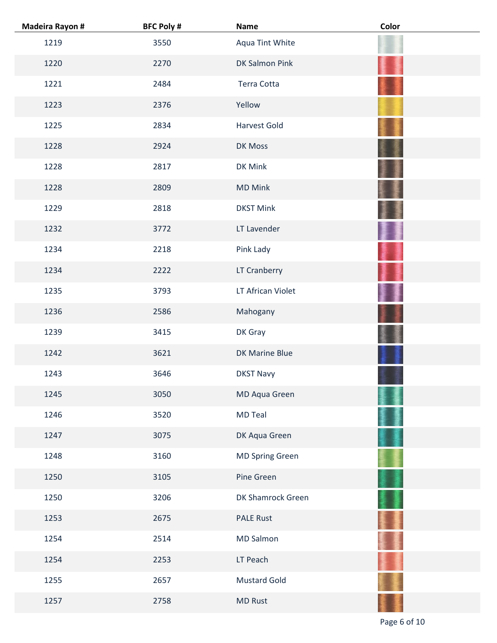| <b>Madeira Rayon #</b> | <b>BFC Poly #</b> | Name                   | Color |
|------------------------|-------------------|------------------------|-------|
| 1219                   | 3550              | Aqua Tint White        |       |
| 1220                   | 2270              | DK Salmon Pink         |       |
| 1221                   | 2484              | Terra Cotta            |       |
| 1223                   | 2376              | Yellow                 |       |
| 1225                   | 2834              | <b>Harvest Gold</b>    |       |
| 1228                   | 2924              | DK Moss                |       |
| 1228                   | 2817              | DK Mink                |       |
| 1228                   | 2809              | <b>MD Mink</b>         |       |
| 1229                   | 2818              | <b>DKST Mink</b>       |       |
| 1232                   | 3772              | LT Lavender            |       |
| 1234                   | 2218              | Pink Lady              |       |
| 1234                   | 2222              | LT Cranberry           |       |
| 1235                   | 3793              | LT African Violet      |       |
| 1236                   | 2586              | Mahogany               |       |
| 1239                   | 3415              | DK Gray                |       |
| 1242                   | 3621              | DK Marine Blue         |       |
| 1243                   | 3646              | <b>DKST Navy</b>       |       |
| 1245                   | 3050              | MD Aqua Green          |       |
| 1246                   | 3520              | <b>MD Teal</b>         |       |
| 1247                   | 3075              | DK Aqua Green          |       |
| 1248                   | 3160              | <b>MD Spring Green</b> |       |
| 1250                   | 3105              | Pine Green             |       |
| 1250                   | 3206              | DK Shamrock Green      |       |
| 1253                   | 2675              | <b>PALE Rust</b>       |       |
| 1254                   | 2514              | <b>MD Salmon</b>       |       |
| 1254                   | 2253              | LT Peach               |       |
| 1255                   | 2657              | <b>Mustard Gold</b>    |       |
| 1257                   | 2758              | <b>MD Rust</b>         |       |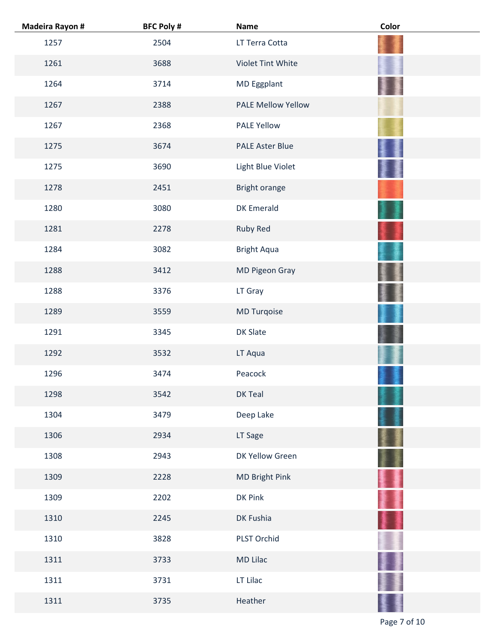| <b>Madeira Rayon #</b> | <b>BFC Poly #</b> | <b>Name</b>            | Color |
|------------------------|-------------------|------------------------|-------|
| 1257                   | 2504              | LT Terra Cotta         |       |
| 1261                   | 3688              | Violet Tint White      |       |
| 1264                   | 3714              | MD Eggplant            |       |
| 1267                   | 2388              | PALE Mellow Yellow     |       |
| 1267                   | 2368              | <b>PALE Yellow</b>     |       |
| 1275                   | 3674              | <b>PALE Aster Blue</b> |       |
| 1275                   | 3690              | Light Blue Violet      |       |
| 1278                   | 2451              | Bright orange          |       |
| 1280                   | 3080              | <b>DK Emerald</b>      |       |
| 1281                   | 2278              | Ruby Red               |       |
| 1284                   | 3082              | <b>Bright Aqua</b>     |       |
| 1288                   | 3412              | MD Pigeon Gray         |       |
| 1288                   | 3376              | LT Gray                |       |
| 1289                   | 3559              | MD Turqoise            |       |
| 1291                   | 3345              | DK Slate               |       |
| 1292                   | 3532              | LT Aqua                |       |
| 1296                   | 3474              | Peacock                |       |
| 1298                   | 3542              | DK Teal                |       |
| 1304                   | 3479              | Deep Lake              |       |
| 1306                   | 2934              | LT Sage                |       |
| 1308                   | 2943              | DK Yellow Green        |       |
| 1309                   | 2228              | MD Bright Pink         |       |
| 1309                   | 2202              | DK Pink                |       |
| 1310                   | 2245              | DK Fushia              |       |
| 1310                   | 3828              | PLST Orchid            |       |
| 1311                   | 3733              | MD Lilac               |       |
| 1311                   | 3731              | LT Lilac               |       |
| 1311                   | 3735              | Heather                |       |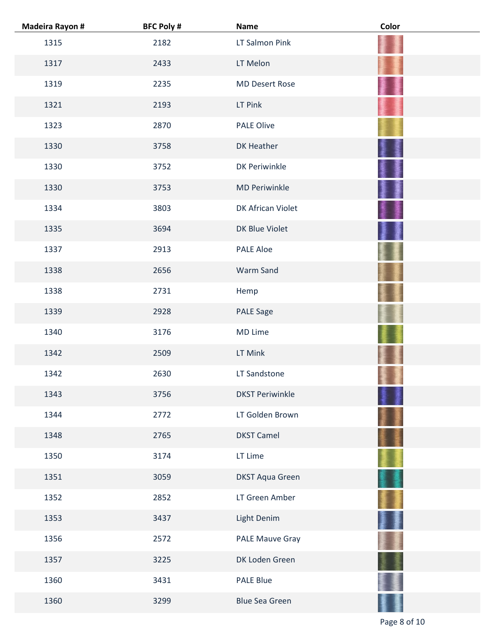| <b>Madeira Rayon #</b> | <b>BFC Poly #</b> | <b>Name</b>            | Color |
|------------------------|-------------------|------------------------|-------|
| 1315                   | 2182              | LT Salmon Pink         |       |
| 1317                   | 2433              | LT Melon               |       |
| 1319                   | 2235              | <b>MD Desert Rose</b>  |       |
| 1321                   | 2193              | LT Pink                |       |
| 1323                   | 2870              | <b>PALE Olive</b>      |       |
| 1330                   | 3758              | DK Heather             |       |
| 1330                   | 3752              | <b>DK Periwinkle</b>   |       |
| 1330                   | 3753              | <b>MD Periwinkle</b>   |       |
| 1334                   | 3803              | DK African Violet      |       |
| 1335                   | 3694              | DK Blue Violet         |       |
| 1337                   | 2913              | <b>PALE Aloe</b>       |       |
| 1338                   | 2656              | Warm Sand              |       |
| 1338                   | 2731              | Hemp                   |       |
| 1339                   | 2928              | <b>PALE Sage</b>       |       |
| 1340                   | 3176              | MD Lime                |       |
| 1342                   | 2509              | LT Mink                |       |
| 1342                   | 2630              | LT Sandstone           |       |
| 1343                   | 3756              | <b>DKST Periwinkle</b> |       |
| 1344                   | 2772              | LT Golden Brown        |       |
| 1348                   | 2765              | <b>DKST Camel</b>      |       |
| 1350                   | 3174              | LT Lime                |       |
| 1351                   | 3059              | <b>DKST Aqua Green</b> |       |
| 1352                   | 2852              | LT Green Amber         |       |
| 1353                   | 3437              | Light Denim            |       |
| 1356                   | 2572              | <b>PALE Mauve Gray</b> |       |
| 1357                   | 3225              | DK Loden Green         |       |
| 1360                   | 3431              | <b>PALE Blue</b>       |       |
| 1360                   | 3299              | <b>Blue Sea Green</b>  |       |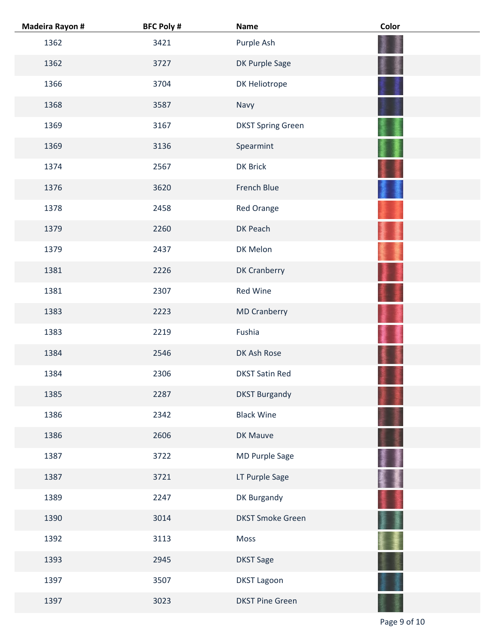| <b>Madeira Rayon #</b> | <b>BFC Poly #</b> | <b>Name</b>              | Color |
|------------------------|-------------------|--------------------------|-------|
| 1362                   | 3421              | Purple Ash               |       |
| 1362                   | 3727              | DK Purple Sage           |       |
| 1366                   | 3704              | DK Heliotrope            |       |
| 1368                   | 3587              | Navy                     |       |
| 1369                   | 3167              | <b>DKST Spring Green</b> |       |
| 1369                   | 3136              | Spearmint                |       |
| 1374                   | 2567              | <b>DK Brick</b>          |       |
| 1376                   | 3620              | French Blue              |       |
| 1378                   | 2458              | Red Orange               |       |
| 1379                   | 2260              | DK Peach                 |       |
| 1379                   | 2437              | DK Melon                 |       |
| 1381                   | 2226              | <b>DK Cranberry</b>      |       |
| 1381                   | 2307              | <b>Red Wine</b>          |       |
| 1383                   | 2223              | <b>MD Cranberry</b>      |       |
| 1383                   | 2219              | Fushia                   |       |
| 1384                   | 2546              | DK Ash Rose              |       |
| 1384                   | 2306              | <b>DKST Satin Red</b>    |       |
| 1385                   | 2287              | <b>DKST Burgandy</b>     |       |
| 1386                   | 2342              | <b>Black Wine</b>        |       |
| 1386                   | 2606              | DK Mauve                 |       |
| 1387                   | 3722              | MD Purple Sage           |       |
| 1387                   | 3721              | LT Purple Sage           |       |
| 1389                   | 2247              | DK Burgandy              |       |
| 1390                   | 3014              | <b>DKST Smoke Green</b>  |       |
| 1392                   | 3113              | Moss                     |       |
| 1393                   | 2945              | <b>DKST Sage</b>         |       |
| 1397                   | 3507              | <b>DKST Lagoon</b>       |       |
| 1397                   | 3023              | <b>DKST Pine Green</b>   |       |